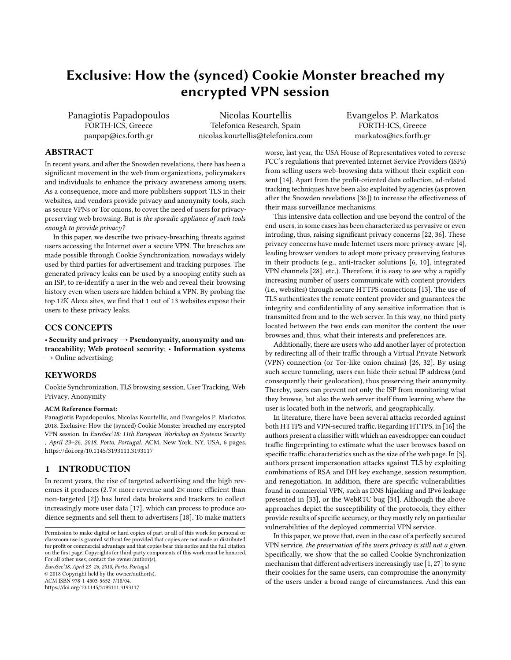# <span id="page-0-0"></span>Exclusive: How the (synced) Cookie Monster breached my encrypted VPN session

Panagiotis Papadopoulos FORTH-ICS, Greece panpap@ics.forth.gr

Nicolas Kourtellis Telefonica Research, Spain nicolas.kourtellis@telefonica.com Evangelos P. Markatos FORTH-ICS, Greece markatos@ics.forth.gr

## ABSTRACT

In recent years, and after the Snowden revelations, there has been a significant movement in the web from organizations, policymakers and individuals to enhance the privacy awareness among users. As a consequence, more and more publishers support TLS in their websites, and vendors provide privacy and anonymity tools, such as secure VPNs or Tor onions, to cover the need of users for privacypreserving web browsing. But is the sporadic appliance of such tools enough to provide privacy?

In this paper, we describe two privacy-breaching threats against users accessing the Internet over a secure VPN. The breaches are made possible through Cookie Synchronization, nowadays widely used by third parties for advertisement and tracking purposes. The generated privacy leaks can be used by a snooping entity such as an ISP, to re-identify a user in the web and reveal their browsing history even when users are hidden behind a VPN. By probing the top 12K Alexa sites, we find that 1 out of 13 websites expose their users to these privacy leaks.

#### CCS CONCEPTS

• Security and privacy → Pseudonymity, anonymity and untraceability; Web protocol security; • Information systems  $\rightarrow$  Online advertising;

#### **KEYWORDS**

Cookie Synchronization, TLS browsing session, User Tracking, Web Privacy, Anonymity

#### ACM Reference Format:

Panagiotis Papadopoulos, Nicolas Kourtellis, and Evangelos P. Markatos. 2018. Exclusive: How the (synced) Cookie Monster breached my encrypted VPN session. In EuroSec'18: 11th European Workshop on Systems Security , April 23–26, 2018, Porto, Portugal. ACM, New York, NY, USA, [6](#page-0-0) pages. <https://doi.org/10.1145/3193111.3193117>

#### 1 INTRODUCTION

In recent years, the rise of targeted advertising and the high revenues it produces (2.7<sup>×</sup> more revenue and <sup>2</sup><sup>×</sup> more efficient than non-targeted [\[2\]](#page-5-0)) has lured data brokers and trackers to collect increasingly more user data [\[17\]](#page-5-1), which can process to produce audience segments and sell them to advertisers [\[18\]](#page-5-2). To make matters

EuroSec'18, April 23–26, 2018, Porto, Portugal © 2018 Copyright held by the owner/author(s).

ACM ISBN 978-1-4503-5652-7/18/04.

<https://doi.org/10.1145/3193111.3193117>

worse, last year, the USA House of Representatives voted to reverse FCC's regulations that prevented Internet Service Providers (ISPs) from selling users web-browsing data without their explicit consent [\[14\]](#page-5-3). Apart from the profit-oriented data collection, ad-related tracking techniques have been also exploited by agencies (as proven after the Snowden revelations [\[36\]](#page-5-4)) to increase the effectiveness of their mass surveillance mechanisms.

This intensive data collection and use beyond the control of the end-users, in some cases has been characterized as pervasive or even intruding, thus, raising significant privacy concerns [\[22,](#page-5-5) [36\]](#page-5-4). These privacy concerns have made Internet users more privacy-aware [\[4\]](#page-5-6), leading browser vendors to adopt more privacy preserving features in their products (e.g., anti-tracker solutions [\[6,](#page-5-7) [10\]](#page-5-8), integrated VPN channels [\[28\]](#page-5-9), etc.). Therefore, it is easy to see why a rapidly increasing number of users communicate with content providers (i.e., websites) through secure HTTPS connections [\[13\]](#page-5-10). The use of TLS authenticates the remote content provider and guarantees the integrity and confidentiality of any sensitive information that is transmitted from and to the web server. In this way, no third party located between the two ends can monitor the content the user browses and, thus, what their interests and preferences are.

Additionally, there are users who add another layer of protection by redirecting all of their traffic through a Virtual Private Network (VPN) connection (or Tor-like onion chains) [\[26,](#page-5-11) [32\]](#page-5-12). By using such secure tunneling, users can hide their actual IP address (and consequently their geolocation), thus preserving their anonymity. Thereby, users can prevent not only the ISP from monitoring what they browse, but also the web server itself from learning where the user is located both in the network, and geographically.

In literature, there have been several attacks recorded against both HTTPS and VPN-secured traffic. Regarding HTTPS, in [\[16\]](#page-5-13) the authors present a classifier with which an eavesdropper can conduct traffic fingerprinting to estimate what the user browses based on specific traffic characteristics such as the size of the web page. In [\[5\]](#page-5-14), authors present impersonation attacks against TLS by exploiting combinations of RSA and DH key exchange, session resumption, and renegotiation. In addition, there are specific vulnerabilities found in commercial VPN, such as DNS hijacking and IPv6 leakage presented in [\[33\]](#page-5-15), or the WebRTC bug [\[34\]](#page-5-16). Although the above approaches depict the susceptibility of the protocols, they either provide results of specific accuracy, or they mostly rely on particular vulnerabilities of the deployed commercial VPN service.

In this paper, we prove that, even in the case of a perfectly secured VPN service, the preservation of the users privacy is still not a given. Specifically, we show that the so called Cookie Synchronization mechanism that different advertisers increasingly use [\[1,](#page-5-17) [27\]](#page-5-18) to sync their cookies for the same users, can compromise the anonymity of the users under a broad range of circumstances. And this can

Permission to make digital or hard copies of part or all of this work for personal or classroom use is granted without fee provided that copies are not made or distributed for profit or commercial advantage and that copies bear this notice and the full citation on the first page. Copyrights for third-party components of this work must be honored. For all other uses, contact the owner/author(s).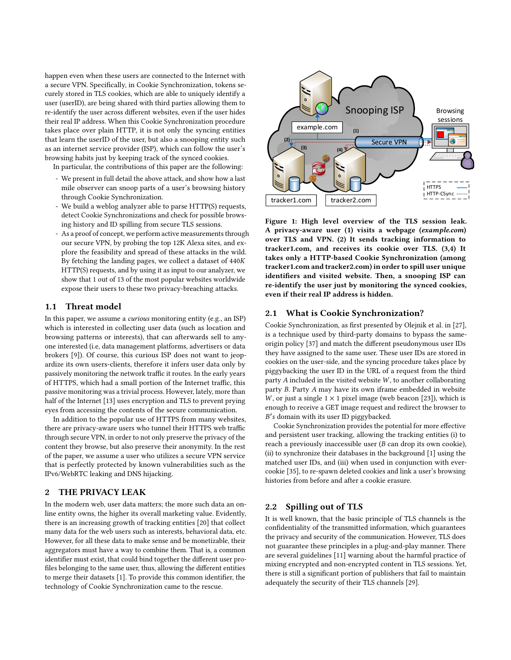happen even when these users are connected to the Internet with a secure VPN. Specifically, in Cookie Synchronization, tokens securely stored in TLS cookies, which are able to uniquely identify a user (userID), are being shared with third parties allowing them to re-identify the user across different websites, even if the user hides their real IP address. When this Cookie Synchronization procedure takes place over plain HTTP, it is not only the syncing entities that learn the userID of the user, but also a snooping entity such as an internet service provider (ISP), which can follow the user's browsing habits just by keeping track of the synced cookies.

In particular, the contributions of this paper are the following:

- We present in full detail the above attack, and show how a last mile observer can snoop parts of a user's browsing history through Cookie Synchronization.
- We build a weblog analyzer able to parse HTTP(S) requests, detect Cookie Synchronizations and check for possible browsing history and ID spilling from secure TLS sessions.
- As a proof of concept, we perform active measurements through our secure VPN, by probing the top 12K Alexa sites, and explore the feasibility and spread of these attacks in the wild. By fetching the landing pages, we collect a dataset of 440K HTTP(S) requests, and by using it as input to our analyzer, we show that 1 out of 13 of the most popular websites worldwide expose their users to these two privacy-breaching attacks.

## 1.1 Threat model

In this paper, we assume a curious monitoring entity (e.g., an ISP) which is interested in collecting user data (such as location and browsing patterns or interests), that can afterwards sell to anyone interested (i.e, data management platforms, advertisers or data brokers [\[9\]](#page-5-19)). Of course, this curious ISP does not want to jeopardize its own users-clients, therefore it infers user data only by passively monitoring the network traffic it routes. In the early years of HTTPS, which had a small portion of the Internet traffic, this passive monitoring was a trivial process. However, lately, more than half of the Internet [\[13\]](#page-5-10) uses encryption and TLS to prevent prying eyes from accessing the contents of the secure communication.

In addition to the popular use of HTTPS from many websites, there are privacy-aware users who tunnel their HTTPS web traffic through secure VPN, in order to not only preserve the privacy of the content they browse, but also preserve their anonymity. In the rest of the paper, we assume a user who utilizes a secure VPN service that is perfectly protected by known vulnerabilities such as the IPv6/WebRTC leaking and DNS hijacking.

#### 2 THE PRIVACY LEAK

In the modern web, user data matters; the more such data an online entity owns, the higher its overall marketing value. Evidently, there is an increasing growth of tracking entities [\[20\]](#page-5-20) that collect many data for the web users such as interests, behavioral data, etc. However, for all these data to make sense and be monetizable, their aggregators must have a way to combine them. That is, a common identifier must exist, that could bind together the different user profiles belonging to the same user, thus, allowing the different entities to merge their datasets [\[1\]](#page-5-17). To provide this common identifier, the technology of Cookie Synchronization came to the rescue.

<span id="page-1-0"></span>

Figure 1: High level overview of the TLS session leak. A privacy-aware user (1) visits a webpage (example.com) over TLS and VPN. (2) It sends tracking information to tracker1.com, and receives its cookie over TLS. (3,4) It takes only a HTTP-based Cookie Synchronization (among tracker1.com and tracker2.com) in order to spill user unique identifiers and visited website. Then, a snooping ISP can re-identify the user just by monitoring the synced cookies, even if their real IP address is hidden.

#### 2.1 What is Cookie Synchronization?

Cookie Synchronization, as first presented by Olejnik et al. in [\[27\]](#page-5-18), is a technique used by third-party domains to bypass the sameorigin policy [\[37\]](#page-5-21) and match the different pseudonymous user IDs they have assigned to the same user. These user IDs are stored in cookies on the user-side, and the syncing procedure takes place by piggybacking the user ID in the URL of a request from the third party  $A$  included in the visited website  $W$ , to another collaborating party B. Party A may have its own iframe embedded in website W, or just a single  $1 \times 1$  pixel image (web beacon [\[23\]](#page-5-22)), which is enough to receive a GET image request and redirect the browser to B ′ s domain with its user ID piggybacked.

Cookie Synchronization provides the potential for more effective and persistent user tracking, allowing the tracking entities (i) to reach a previously inaccessible user  $(B \text{ can drop its own cookie})$ , (ii) to synchronize their databases in the background [\[1\]](#page-5-17) using the matched user IDs, and (iii) when used in conjunction with evercookie [\[35\]](#page-5-23), to re-spawn deleted cookies and link a user's browsing histories from before and after a cookie erasure.

### 2.2 Spilling out of TLS

It is well known, that the basic principle of TLS channels is the confidentiality of the transmitted information, which guarantees the privacy and security of the communication. However, TLS does not guarantee these principles in a plug-and-play manner. There are several guidelines [\[11\]](#page-5-24) warning about the harmful practice of mixing encrypted and non-encrypted content in TLS sessions. Yet, there is still a significant portion of publishers that fail to maintain adequately the security of their TLS channels [\[29\]](#page-5-25).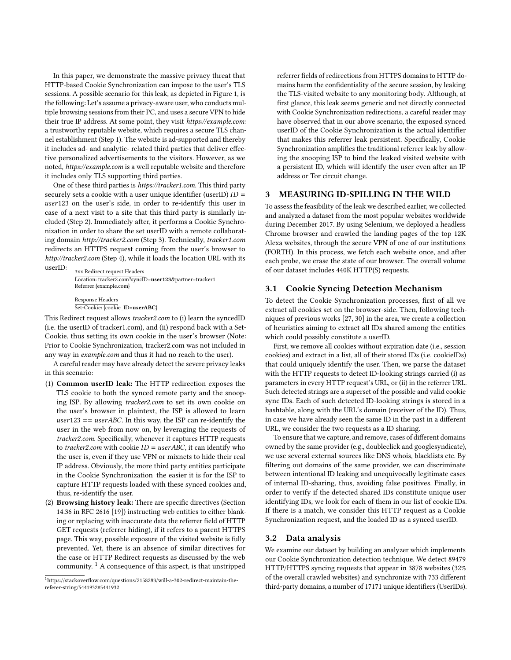In this paper, we demonstrate the massive privacy threat that HTTP-based Cookie Synchronization can impose to the user's TLS sessions. A possible scenario for this leak, as depicted in Figure [1,](#page-1-0) is the following: Let's assume a privacy-aware user, who conducts multiple browsing sessions from their PC, and uses a secure VPN to hide their true IP address. At some point, they visit https://example.com: a trustworthy reputable website, which requires a secure TLS channel establishment (Step 1). The website is ad-supported and thereby it includes ad- and analytic- related third parties that deliver effective personalized advertisements to the visitors. However, as we noted, https://example.com is a well reputable website and therefore it includes only TLS supporting third parties.

One of these third parties is https://tracker1.com. This third party securely sets a cookie with a user unique identifier (userID)  $ID =$ user123 on the user's side, in order to re-identify this user in case of a next visit to a site that this third party is similarly included (Step 2). Immediately after, it performs a Cookie Synchronization in order to share the set userID with a remote collaborating domain http://tracker2.com (Step 3). Technically, tracker1.com redirects an HTTPS request coming from the user's browser to http://tracker2.com (Step 4), while it loads the location URL with its

userID: 3xx Redirect request Headers Location: tracker2.com?syncID=user123&partner=tracker1 Referrer:{example.com}

> Response Headers Set-Cookie: {cookie\_ID=userABC}

This Redirect request allows tracker2.com to (i) learn the syncedID (i.e. the userID of tracker1.com), and (ii) respond back with a Set-Cookie, thus setting its own cookie in the user's browser (Note: Prior to Cookie Synchronization, tracker2.com was not included in any way in example.com and thus it had no reach to the user).

A careful reader may have already detect the severe privacy leaks in this scenario:

- (1) Common userID leak: The HTTP redirection exposes the TLS cookie to both the synced remote party and the snooping ISP. By allowing tracker2.com to set its own cookie on the user's browser in plaintext, the ISP is allowed to learn  $user123 == userABC$ . In this way, the ISP can re-identify the user in the web from now on, by leveraging the requests of tracker2.com. Specifically, whenever it captures HTTP requests to tracker2.com with cookie  $ID = userABC$ , it can identify who the user is, even if they use VPN or mixnets to hide their real IP address. Obviously, the more third party entities participate in the Cookie Synchronization the easier it is for the ISP to capture HTTP requests loaded with these synced cookies and, thus, re-identify the user.
- (2) Browsing history leak: There are specific directives (Section 14.36 in RFC 2616 [\[19\]](#page-5-26)) instructing web entities to either blanking or replacing with inaccurate data the referrer field of HTTP GET requests (referrer hiding), if it refers to a parent HTTPS page. This way, possible exposure of the visited website is fully prevented. Yet, there is an absence of similar directives for the case or HTTP Redirect requests as discussed by the web community. [1](#page-2-0) A consequence of this aspect, is that unstripped

<span id="page-2-0"></span><sup>1</sup>https://stackoverflow.com/questions/2158283/will-a-302-redirect-maintain-thereferer-string/5441932#5441932

referrer fields of redirections from HTTPS domains to HTTP domains harm the confidentiality of the secure session, by leaking the TLS-visited website to any monitoring body. Although, at first glance, this leak seems generic and not directly connected with Cookie Synchronization redirections, a careful reader may have observed that in our above scenario, the exposed synced userID of the Cookie Synchronization is the actual identifier that makes this referrer leak persistent. Specifically, Cookie Synchronization amplifies the traditional referrer leak by allowing the snooping ISP to bind the leaked visited website with a persistent ID, which will identify the user even after an IP address or Tor circuit change.

## 3 MEASURING ID-SPILLING IN THE WILD

To assess the feasibility of the leak we described earlier, we collected and analyzed a dataset from the most popular websites worldwide during December 2017. By using Selenium, we deployed a headless Chrome browser and crawled the landing pages of the top 12K Alexa websites, through the secure VPN of one of our institutions (FORTH). In this process, we fetch each website once, and after each probe, we erase the state of our browser. The overall volume of our dataset includes 440K HTTP(S) requests.

# 3.1 Cookie Syncing Detection Mechanism

To detect the Cookie Synchronization processes, first of all we extract all cookies set on the browser-side. Then, following techniques of previous works [\[27,](#page-5-18) [30\]](#page-5-27) in the area, we create a collection of heuristics aiming to extract all IDs shared among the entities which could possibly constitute a userID.

First, we remove all cookies without expiration date (i.e., session cookies) and extract in a list, all of their stored IDs (i.e. cookieIDs) that could uniquely identify the user. Then, we parse the dataset with the HTTP requests to detect ID-looking strings carried (i) as parameters in every HTTP request's URL, or (ii) in the referrer URL. Such detected strings are a superset of the possible and valid cookie sync IDs. Each of such detected ID-looking strings is stored in a hashtable, along with the URL's domain (receiver of the ID). Thus, in case we have already seen the same ID in the past in a different URL, we consider the two requests as a ID sharing.

To ensure that we capture, and remove, cases of different domains owned by the same provider (e.g., doubleclick and googlesyndicate), we use several external sources like DNS whois, blacklists etc. By filtering out domains of the same provider, we can discriminate between intentional ID leaking and unequivocally legitimate cases of internal ID-sharing, thus, avoiding false positives. Finally, in order to verify if the detected shared IDs constitute unique user identifying IDs, we look for each of them in our list of cookie IDs. If there is a match, we consider this HTTP request as a Cookie Synchronization request, and the loaded ID as a synced userID.

## 3.2 Data analysis

We examine our dataset by building an analyzer which implements our Cookie Synchronization detection technique. We detect 89479 HTTP/HTTPS syncing requests that appear in 3878 websites (32% of the overall crawled websites) and synchronize with 733 different third-party domains, a number of 17171 unique identifiers (UserIDs).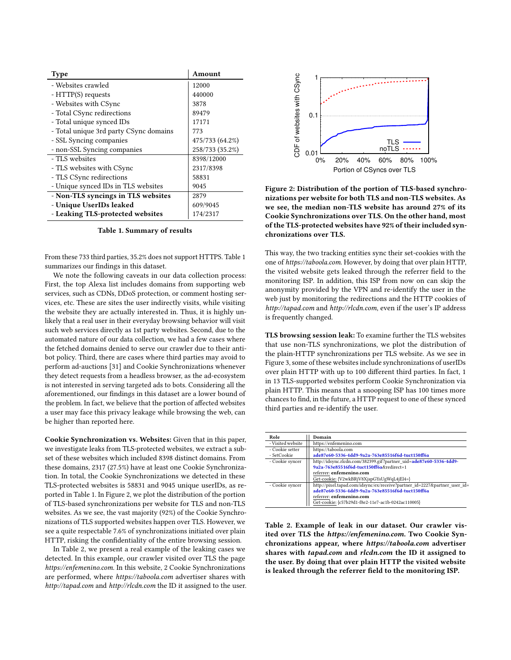<span id="page-3-0"></span>

| Type                                   | Amount          |
|----------------------------------------|-----------------|
| - Websites crawled                     | 12000           |
| - HTTP(S) requests                     | 440000          |
| - Websites with CSync                  | 3878            |
| - Total CSync redirections             | 89479           |
| - Total unique synced IDs              | 17171           |
| - Total unique 3rd party CSync domains | 773             |
| - SSL Syncing companies                | 475/733 (64.2%) |
| - non-SSL Syncing companies            | 258/733 (35.2%) |
| - TLS websites                         | 8398/12000      |
| - TLS websites with CSync              | 2317/8398       |
| - TLS CSync redirections               | 58831           |
| - Unique synced IDs in TLS websites    | 9045            |
| - Non-TLS syncings in TLS websites     | 2879            |
| - Unique UserIDs leaked                | 609/9045        |
| - Leaking TLS-protected websites       | 174/2317        |

Table 1. Summary of results

From these 733 third parties, 35.2% does not support HTTPS. Table [1](#page-3-0) summarizes our findings in this dataset.

We note the following caveats in our data collection process: First, the top Alexa list includes domains from supporting web services, such as CDNs, DDoS protection, or comment hosting services, etc. These are sites the user indirectly visits, while visiting the website they are actually interested in. Thus, it is highly unlikely that a real user in their everyday browsing behavior will visit such web services directly as 1st party websites. Second, due to the automated nature of our data collection, we had a few cases where the fetched domains denied to serve our crawler due to their antibot policy. Third, there are cases where third parties may avoid to perform ad-auctions [\[31\]](#page-5-28) and Cookie Synchronizations whenever they detect requests from a headless browser, as the ad-ecosystem is not interested in serving targeted ads to bots. Considering all the aforementioned, our findings in this dataset are a lower bound of the problem. In fact, we believe that the portion of affected websites a user may face this privacy leakage while browsing the web, can be higher than reported here.

Cookie Synchronization vs. Websites: Given that in this paper, we investigate leaks from TLS-protected websites, we extract a subset of these websites which included 8398 distinct domains. From these domains, 2317 (27.5%) have at least one Cookie Synchronization. In total, the Cookie Synchronizations we detected in these TLS-protected websites is 58831 and 9045 unique userIDs, as reported in Table [1.](#page-3-0) In Figure [2,](#page-3-1) we plot the distribution of the portion of TLS-based synchronizations per website for TLS and non-TLS websites. As we see, the vast majority (92%) of the Cookie Synchronizations of TLS supported websites happen over TLS. However, we see a quite respectable 7.6% of synchronizations initiated over plain HTTP, risking the confidentiality of the entire browsing session.

In Table [2,](#page-3-2) we present a real example of the leaking cases we detected. In this example, our crawler visited over TLS the page https://enfemenino.com. In this website, 2 Cookie Synchronizations are performed, where https://taboola.com advertiser shares with http://tapad.com and http://rlcdn.com the ID it assigned to the user.

<span id="page-3-1"></span>

Figure 2: Distribution of the portion of TLS-based synchronizations per website for both TLS and non-TLS websites. As we see, the median non-TLS website has around 27% of its Cookie Synchronizations over TLS. On the other hand, most of the TLS-protected websites have 92% of their included synchronizations over TLS.

This way, the two tracking entities sync their set-cookies with the one of https://taboola.com. However, by doing that over plain HTTP, the visited website gets leaked through the referrer field to the monitoring ISP. In addition, this ISP from now on can skip the anonymity provided by the VPN and re-identify the user in the web just by monitoring the redirections and the HTTP cookies of http://tapad.com and http://rlcdn.com, even if the user's IP address is frequently changed.

TLS browsing session leak: To examine further the TLS websites that use non-TLS synchronizations, we plot the distribution of the plain-HTTP synchronizations per TLS website. As we see in Figure [3,](#page-4-0) some of these websites include synchronizations of userIDs over plain HTTP with up to 100 different third parties. In fact, 1 in 13 TLS-supported websites perform Cookie Synchronization via plain HTTP. This means that a snooping ISP has 100 times more chances to find, in the future, a HTTP request to one of these synced third parties and re-identify the user.

<span id="page-3-2"></span>

| Role              | Domain                                                                                                         |
|-------------------|----------------------------------------------------------------------------------------------------------------|
| - Visited website | https://enfemenino.com                                                                                         |
| - Cookie setter   | https://taboola.com                                                                                            |
| - SetCookie       | ade87e60-5336-4dd9-9a2a-763e85516f6d-tuct150ff6a                                                               |
| - Cookie syncer   | http://idsync.rlcdn.com/382399.gif?partner_uid=ade87e60-5336-4dd9-<br>9a2a-763e85516f6d-tuct150ff6a&redirect=1 |
|                   | referrer: enfemenino.com                                                                                       |
|                   | Get-cookie: {V2wkBRjV8XjspGYsUgWqL4jEl4=}                                                                      |
| - Cookie syncer   | http://pixel.tapad.com/idsync/ex/receive?partner id=2227&partner user id=                                      |
|                   | ade87e60-5336-4dd9-9a2a-763e85516f6d-tuct150ff6a                                                               |
|                   | referrer: enfemenino.com                                                                                       |
|                   | Get-cookie: {c57b29d1-f8e2-11e7-ac1b-0242ac110005}                                                             |

Table 2. Example of leak in our dataset. Our crawler visited over TLS the https://enfemenino.com. Two Cookie Synchronizations appear, where https://taboola.com advertiser shares with tapad.com and rlcdn.com the ID it assigned to the user. By doing that over plain HTTP the visited website is leaked through the referrer field to the monitoring ISP.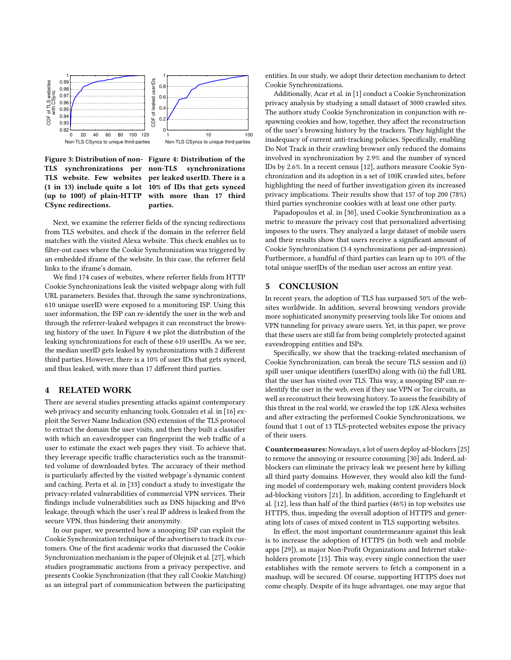<span id="page-4-0"></span>

Figure 3: Distribution of non-Figure 4: Distribution of the TLS synchronizations per TLS website. Few websites per leaked userID. There is a (1 in 13) include quite a lot 10% of IDs that gets synced (up to 100!) of plain-HTTP CSync redirections.

synchronizations with more than 17 third parties.

Next, we examine the referrer fields of the syncing redirections from TLS websites, and check if the domain in the referrer field matches with the visited Alexa website. This check enables us to filter-out cases where the Cookie Synchronization was triggered by an embedded iframe of the website. In this case, the referrer field links to the iframe's domain.

We find 174 cases of websites, where referrer fields from HTTP Cookie Synchronizations leak the visited webpage along with full URL parameters. Besides that, through the same synchronizations, 610 unique userID were exposed to a monitoring ISP. Using this user information, the ISP can re-identify the user in the web and through the referrer-leaked webpages it can reconstruct the browsing history of the user. In Figure [4](#page-4-0) we plot the distribution of the leaking synchronizations for each of these 610 userIDs. As we see, the median userID gets leaked by synchronizations with 2 different third parties. However, there is a 10% of user IDs that gets synced, and thus leaked, with more than 17 different third parties.

## 4 RELATED WORK

There are several studies presenting attacks against contemporary web privacy and security enhancing tools. Gonzalez et al. in [\[16\]](#page-5-13) exploit the Server Name Indication (SN) extension of the TLS protocol to extract the domain the user visits, and then they built a classifier with which an eavesdropper can fingerprint the web traffic of a user to estimate the exact web pages they visit. To achieve that, they leverage specific traffic characteristics such as the transmitted volume of downloaded bytes. The accuracy of their method is particularly affected by the visited webpage's dynamic content and caching. Perta et al. in [\[33\]](#page-5-15) conduct a study to investigate the privacy-related vulnerabilities of commercial VPN services. Their findings include vulnerabilities such as DNS hijacking and IPv6 leakage, through which the user's real IP address is leaked from the secure VPN, thus hindering their anonymity.

In our paper, we presented how a snooping ISP can exploit the Cookie Synchronization technique of the advertisers to track its customers. One of the first academic works that discussed the Cookie Synchronization mechanism is the paper of Olejnik et al. [\[27\]](#page-5-18), which studies programmatic auctions from a privacy perspective, and presents Cookie Synchronization (that they call Cookie Matching) as an integral part of communication between the participating

entities. In our study, we adopt their detection mechanism to detect Cookie Synchronizations.

Additionally, Acar et al. in [\[1\]](#page-5-17) conduct a Cookie Synchronization privacy analysis by studying a small dataset of 3000 crawled sites. The authors study Cookie Synchronization in conjunction with respawning cookies and how, together, they affect the reconstruction of the user's browsing history by the trackers. They highlight the inadequacy of current anti-tracking policies. Specifically, enabling Do Not Track in their crawling browser only reduced the domains involved in synchronization by 2.9% and the number of synced IDs by 2.6%. In a recent census [\[12\]](#page-5-29), authors measure Cookie Synchronization and its adoption in a set of 100K crawled sites, before highlighting the need of further investigation given its increased privacy implications. Their results show that 157 of top 200 (78%) third parties synchronize cookies with at least one other party.

Papadopoulos et al. in [\[30\]](#page-5-27), used Cookie Synchronization as a metric to measure the privacy cost that personalized advertising imposes to the users. They analyzed a large dataset of mobile users and their results show that users receive a significant amount of Cookie Synchronization (3.4 synchronizations per ad-impression). Furthermore, a handful of third parties can learn up to 10% of the total unique userIDs of the median user across an entire year.

#### 5 CONCLUSION

In recent years, the adoption of TLS has surpassed 50% of the websites worldwide. In addition, several browsing vendors provide more sophisticated anonymity preserving tools like Tor onions and VPN tunneling for privacy aware users. Yet, in this paper, we prove that these users are still far from being completely protected against eavesdropping entities and ISPs.

Specifically, we show that the tracking-related mechanism of Cookie Synchronization, can break the secure TLS session and (i) spill user unique identifiers (userIDs) along with (ii) the full URL that the user has visited over TLS. This way, a snooping ISP can reidentify the user in the web, even if they use VPN or Tor circuits, as well as reconstruct their browsing history. To assess the feasibility of this threat in the real world, we crawled the top 12K Alexa websites and after extracting the performed Cookie Synchronizations, we found that 1 out of 13 TLS-protected websites expose the privacy of their users.

Countermeasures:Nowadays, a lot of users deploy ad-blockers [\[25\]](#page-5-30) to remove the annoying or resource consuming [\[30\]](#page-5-27) ads. Indeed, adblockers can eliminate the privacy leak we present here by killing all third party domains. However, they would also kill the funding model of contemporary web, making content providers block ad-blocking visitors [\[21\]](#page-5-31). In addition, according to Englehardt et al. [\[12\]](#page-5-29), less than half of the third parties (46%) in top websites use HTTPS, thus, impeding the overall adoption of HTTPS and generating lots of cases of mixed content in TLS supporting websites.

In effect, the most important countermeasure against this leak is to increase the adoption of HTTPS (in both web and mobile apps [\[29\]](#page-5-25)), as major Non-Profit Organizations and Internet stakeholders promote [\[15\]](#page-5-32). This way, every single connection the user establishes with the remote servers to fetch a component in a mashup, will be secured. Of course, supporting HTTPS does not come cheaply. Despite of its huge advantages, one may argue that